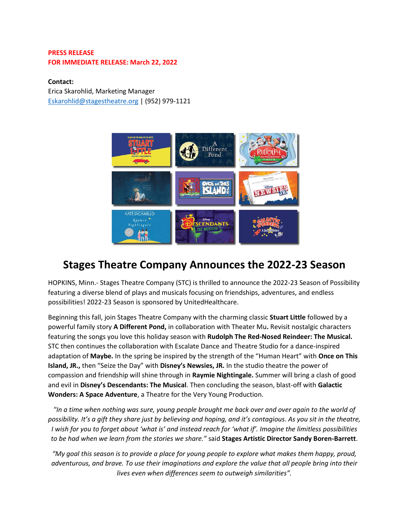## **PRESS RELEASE FOR IMMEDIATE RELEASE: March 22, 2022**

## **Contact:**

Erica Skarohlid, Marketing Manager [Eskarohlid@stagestheatre.org](mailto:Eskarohlid@stagestheatre.org) | (952) 979-1121



# **Stages Theatre Company Announces the 2022-23 Season**

HOPKINS, Minn.- Stages Theatre Company (STC) is thrilled to announce the 2022-23 Season of Possibility featuring a diverse blend of plays and musicals focusing on friendships, adventures, and endless possibilities! 2022-23 Season is sponsored by UnitedHealthcare.

Beginning this fall, join Stages Theatre Company with the charming classic **Stuart Little** followed by a powerful family story **A Different Pond,** in collaboration with Theater Mu**.** Revisit nostalgic characters featuring the songs you love this holiday season with **Rudolph The Red-Nosed Reindeer: The Musical.**  STC then continues the collaboration with Escalate Dance and Theatre Studio for a dance-inspired adaptation of **Maybe.** In the spring be inspired by the strength of the "Human Heart" with **Once on This Island, JR.,** then "Seize the Day" with **Disney's Newsies, JR.** In the studio theatre the power of compassion and friendship will shine through in **Raymie Nightingale.** Summer will bring a clash of good and evil in **Disney's Descendants: The Musical**. Then concluding the season, blast-off with **Galactic Wonders: A Space Adventure**, a Theatre for the Very Young Production.

*"In a time when nothing was sure, young people brought me back over and over again to the world of possibility. It's a gift they share just by believing and hoping, and it's contagious. As you sit in the theatre, I wish for you to forget about 'what is' and instead reach for 'what if'. Imagine the limitless possibilities to be had when we learn from the stories we share."* said **Stages Artistic Director Sandy Boren-Barrett**.

*"My goal this season is to provide a place for young people to explore what makes them happy, proud, adventurous, and brave. To use their imaginations and explore the value that all people bring into their lives even when differences seem to outweigh similarities".*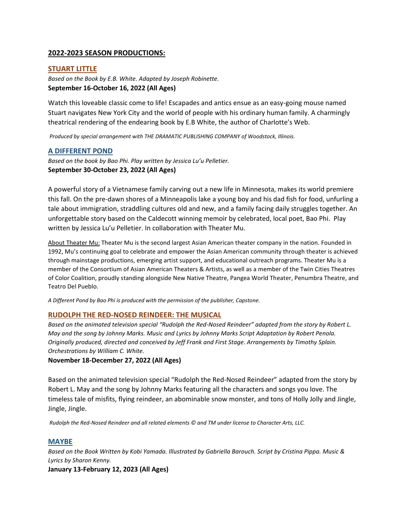## **2022-2023 SEASON PRODUCTIONS:**

## **STUART LITTLE**

*Based on the Book by E.B. White. Adapted by Joseph Robinette.* **September 16-October 16, 2022 (All Ages)**

Watch this loveable classic come to life! Escapades and antics ensue as an easy-going mouse named Stuart navigates New York City and the world of people with his ordinary human family. A charmingly theatrical rendering of the endearing book by E.B White, the author of Charlotte's Web.

*Produced by special arrangement with THE DRAMATIC PUBLISHING COMPANY of Woodstock, Illinois.*

#### **A DIFFERENT POND**

*Based on the book by Bao Phi. Play written by Jessica Lu'u Pelletier.* **September 30-October 23, 2022 (All Ages)**

A powerful story of a Vietnamese family carving out a new life in Minnesota, makes its world premiere this fall. On the pre-dawn shores of a Minneapolis lake a young boy and his dad fish for food, unfurling a tale about immigration, straddling cultures old and new, and a family facing daily struggles together. An unforgettable story based on the Caldecott winning memoir by celebrated, local poet, Bao Phi. Play written by Jessica Lu'u Pelletier. In collaboration with Theater Mu.

About Theater Mu: Theater Mu is the second largest Asian American theater company in the nation. Founded in 1992, Mu's continuing goal to celebrate and empower the Asian American community through theater is achieved through mainstage productions, emerging artist support, and educational outreach programs. Theater Mu is a member of the Consortium of Asian American Theaters & Artists, as well as a member of the Twin Cities Theatres of Color Coalition, proudly standing alongside New Native Theatre, Pangea World Theater, Penumbra Theatre, and Teatro Del Pueblo.

*A Different Pond by Bao Phi is produced with the permission of the publisher, Capstone.*

#### **RUDOLPH THE RED-NOSED REINDEER: THE MUSICAL**

*Based on the animated television special "Rudolph the Red-Nosed Reindeer" adapted from the story by Robert L. May and the song by Johnny Marks. Music and Lyrics by Johnny Marks Script Adaptation by Robert Penola. Originally produced, directed and conceived by Jeff Frank and First Stage. Arrangements by Timothy Splain. Orchestrations by William C. White.*

#### **November 18-December 27, 2022 (All Ages)**

Based on the animated television special "Rudolph the Red-Nosed Reindeer" adapted from the story by Robert L. May and the song by Johnny Marks featuring all the characters and songs you love. The timeless tale of misfits, flying reindeer, an abominable snow monster, and tons of Holly Jolly and Jingle, Jingle, Jingle.

*Rudolph the Red-Nosed Reindeer and all related elements © and TM under license to Character Arts, LLC.*

#### **MAYBE**

*Based on the Book Written by Kobi Yamada. Illustrated by Gabriella Barouch. Script by Cristina Pippa. Music & Lyrics by Sharon Kenny.*

**January 13-February 12, 2023 (All Ages)**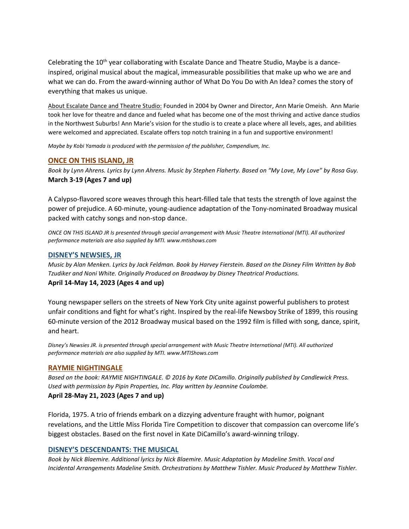Celebrating the 10<sup>th</sup> year collaborating with Escalate Dance and Theatre Studio, Maybe is a danceinspired, original musical about the magical, immeasurable possibilities that make up who we are and what we can do. From the award-winning author of What Do You Do with An Idea? comes the story of everything that makes us unique.

About Escalate Dance and Theatre Studio: Founded in 2004 by Owner and Director, Ann Marie Omeish. Ann Marie took her love for theatre and dance and fueled what has become one of the most thriving and active dance studios in the Northwest Suburbs! Ann Marie's vision for the studio is to create a place where all levels, ages, and abilities were welcomed and appreciated. Escalate offers top notch training in a fun and supportive environment!

*Maybe by Kobi Yamada is produced with the permission of the publisher, Compendium, Inc.*

## **ONCE ON THIS ISLAND, JR**

*Book by Lynn Ahrens. Lyrics by Lynn Ahrens. Music by Stephen Flaherty. Based on "My Love, My Love" by Rosa Guy.* **March 3-19 (Ages 7 and up)**

A Calypso-flavored score weaves through this heart-filled tale that tests the strength of love against the power of prejudice. A 60-minute, young-audience adaptation of the Tony-nominated Broadway musical packed with catchy songs and non-stop dance.

*ONCE ON THIS ISLAND JR Is presented through special arrangement with Music Theatre International (MTI). All authorized performance materials are also supplied by MTI. www.mtishows.com*

## **DISNEY'S NEWSIES, JR**

*Music by Alan Menken. Lyrics by Jack Feldman. Book by Harvey Fierstein. Based on the Disney Film Written by Bob Tzudiker and Noni White. Originally Produced on Broadway by Disney Theatrical Productions.* **April 14-May 14, 2023 (Ages 4 and up)**

Young newspaper sellers on the streets of New York City unite against powerful publishers to protest unfair conditions and fight for what's right. Inspired by the real-life Newsboy Strike of 1899, this rousing 60-minute version of the 2012 Broadway musical based on the 1992 film is filled with song, dance, spirit, and heart.

*Disney's Newsies JR. is presented through special arrangement with Music Theatre International (MTI). All authorized performance materials are also supplied by MTI. www.MTIShows.com*

## **RAYMIE NIGHTINGALE**

*Based on the book: RAYMIE NIGHTINGALE. © 2016 by Kate DiCamillo. Originally published by Candlewick Press. Used with permission by Pipin Properties, Inc. Play written by Jeannine Coulombe.*

## **April 28-May 21, 2023 (Ages 7 and up)**

Florida, 1975. A trio of friends embark on a dizzying adventure fraught with humor, poignant revelations, and the Little Miss Florida Tire Competition to discover that compassion can overcome life's biggest obstacles. Based on the first novel in Kate DiCamillo's award-winning trilogy.

## **DISNEY'S DESCENDANTS: THE MUSICAL**

*Book by Nick Blaemire. Additional lyrics by Nick Blaemire. Music Adaptation by Madeline Smith. Vocal and Incidental Arrangements Madeline Smith. Orchestrations by Matthew Tishler. Music Produced by Matthew Tishler.*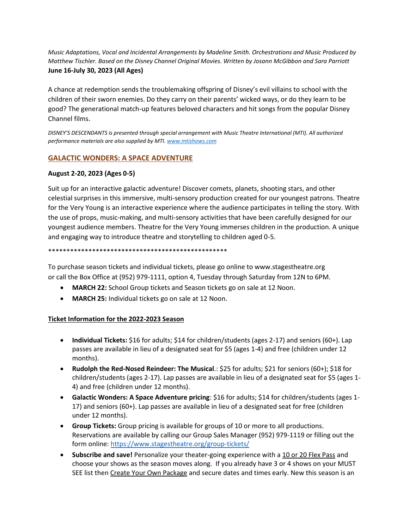*Music Adaptations, Vocal and Incidental Arrangements by Madeline Smith. Orchestrations and Music Produced by Matthew Tischler. Based on the Disney Channel Original Movies. Written by Josann McGibbon and Sara Parriott* **June 16-July 30, 2023 (All Ages)**

A chance at redemption sends the troublemaking offspring of Disney's evil villains to school with the children of their sworn enemies. Do they carry on their parents' wicked ways, or do they learn to be good? The generational match-up features beloved characters and hit songs from the popular Disney Channel films.

*DISNEY'S DESCENDANTS is presented through special arrangement with Music Theatre International (MTI). All authorized performance materials are also supplied by MTI[. www.mtishows.com](http://www.mtishows.com/)*

## **GALACTIC WONDERS: A SPACE ADVENTURE**

## **August 2-20, 2023 (Ages 0-5)**

Suit up for an interactive galactic adventure! Discover comets, planets, shooting stars, and other celestial surprises in this immersive, multi-sensory production created for our youngest patrons. Theatre for the Very Young is an interactive experience where the audience participates in telling the story. With the use of props, music-making, and multi-sensory activities that have been carefully designed for our youngest audience members. Theatre for the Very Young immerses children in the production. A unique and engaging way to introduce theatre and storytelling to children aged 0-5.

#### \*\*\*\*\*\*\*\*\*\*\*\*\*\*\*\*\*\*\*\*\*\*\*\*\*\*\*\*\*\*\*\*\*\*\*\*\*\*\*\*\*\*\*\*\*\*\*\*\*

To purchase season tickets and individual tickets, please go online to www.stagestheatre.org or call the Box Office at (952) 979-1111, option 4, Tuesday through Saturday from 12N to 6PM.

- **MARCH 22:** School Group tickets and Season tickets go on sale at 12 Noon.
- **MARCH 25:** Individual tickets go on sale at 12 Noon.

## **Ticket Information for the 2022-2023 Season**

- **Individual Tickets:** \$16 for adults; \$14 for children/students (ages 2-17) and seniors (60+). Lap passes are available in lieu of a designated seat for \$5 (ages 1-4) and free (children under 12 months).
- **Rudolph the Red-Nosed Reindeer: The Musical**.: \$25 for adults; \$21 for seniors (60+); \$18 for children/students (ages 2-17). Lap passes are available in lieu of a designated seat for \$5 (ages 1- 4) and free (children under 12 months).
- **Galactic Wonders: A Space Adventure pricing**: \$16 for adults; \$14 for children/students (ages 1- 17) and seniors (60+). Lap passes are available in lieu of a designated seat for free (children under 12 months).
- **Group Tickets:** Group pricing is available for groups of 10 or more to all productions. Reservations are available by calling our Group Sales Manager (952) 979-1119 or filling out the form online[: https://www.stagestheatre.org/group-tickets/](https://www.stagestheatre.org/group-tickets/)
- **Subscribe and save!** Personalize your theater-going experience with a 10 or 20 Flex Pass and choose your shows as the season moves along. If you already have 3 or 4 shows on your MUST SEE list then Create Your Own Package and secure dates and times early. New this season is an